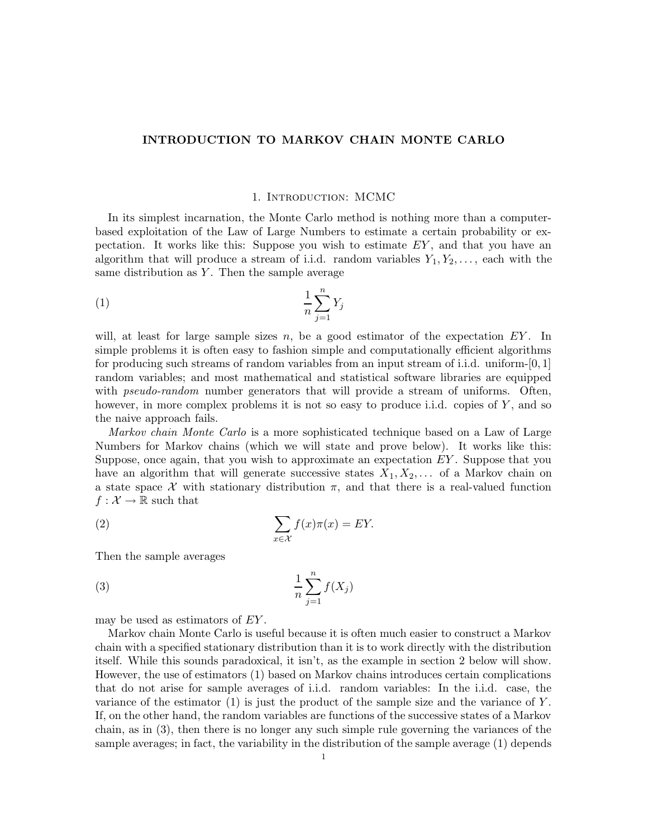# INTRODUCTION TO MARKOV CHAIN MONTE CARLO

### 1. Introduction: MCMC

In its simplest incarnation, the Monte Carlo method is nothing more than a computerbased exploitation of the Law of Large Numbers to estimate a certain probability or expectation. It works like this: Suppose you wish to estimate  $EY$ , and that you have an algorithm that will produce a stream of i.i.d. random variables  $Y_1, Y_2, \ldots$ , each with the same distribution as  $Y$ . Then the sample average

$$
\frac{1}{n}\sum_{j=1}^{n}Y_j
$$

will, at least for large sample sizes n, be a good estimator of the expectation  $EY$ . In simple problems it is often easy to fashion simple and computationally efficient algorithms for producing such streams of random variables from an input stream of i.i.d. uniform-[0, 1] random variables; and most mathematical and statistical software libraries are equipped with *pseudo-random* number generators that will provide a stream of uniforms. Often, however, in more complex problems it is not so easy to produce i.i.d. copies of Y, and so the naive approach fails.

Markov chain Monte Carlo is a more sophisticated technique based on a Law of Large Numbers for Markov chains (which we will state and prove below). It works like this: Suppose, once again, that you wish to approximate an expectation  $EY$ . Suppose that you have an algorithm that will generate successive states  $X_1, X_2, \ldots$  of a Markov chain on a state space X with stationary distribution  $\pi$ , and that there is a real-valued function  $f: \mathcal{X} \to \mathbb{R}$  such that

(2) 
$$
\sum_{x \in \mathcal{X}} f(x)\pi(x) = EY.
$$

Then the sample averages

$$
\frac{1}{n}\sum_{j=1}^{n}f(X_j)
$$

may be used as estimators of EY .

Markov chain Monte Carlo is useful because it is often much easier to construct a Markov chain with a specified stationary distribution than it is to work directly with the distribution itself. While this sounds paradoxical, it isn't, as the example in section 2 below will show. However, the use of estimators (1) based on Markov chains introduces certain complications that do not arise for sample averages of i.i.d. random variables: In the i.i.d. case, the variance of the estimator  $(1)$  is just the product of the sample size and the variance of Y. If, on the other hand, the random variables are functions of the successive states of a Markov chain, as in (3), then there is no longer any such simple rule governing the variances of the sample averages; in fact, the variability in the distribution of the sample average (1) depends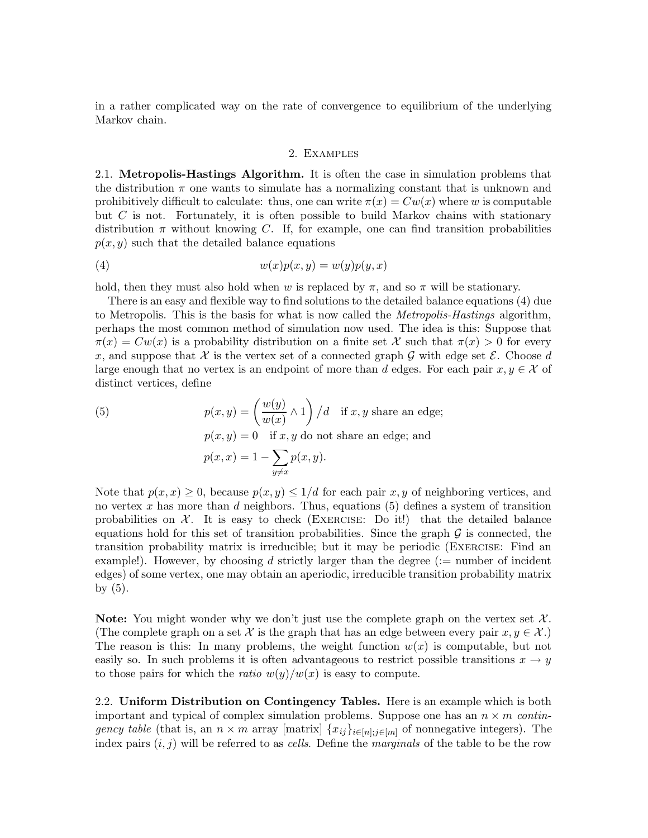in a rather complicated way on the rate of convergence to equilibrium of the underlying Markov chain.

#### 2. Examples

2.1. Metropolis-Hastings Algorithm. It is often the case in simulation problems that the distribution  $\pi$  one wants to simulate has a normalizing constant that is unknown and prohibitively difficult to calculate: thus, one can write  $\pi(x) = Cw(x)$  where w is computable but  $C$  is not. Fortunately, it is often possible to build Markov chains with stationary distribution  $\pi$  without knowing C. If, for example, one can find transition probabilities  $p(x, y)$  such that the detailed balance equations

$$
(4) \t\t\t w(x)p(x,y) = w(y)p(y,x)
$$

hold, then they must also hold when w is replaced by  $\pi$ , and so  $\pi$  will be stationary.

There is an easy and flexible way to find solutions to the detailed balance equations (4) due to Metropolis. This is the basis for what is now called the *Metropolis-Hastings* algorithm, perhaps the most common method of simulation now used. The idea is this: Suppose that  $\pi(x) = Cw(x)$  is a probability distribution on a finite set X such that  $\pi(x) > 0$  for every x, and suppose that X is the vertex set of a connected graph G with edge set  $\mathcal E$ . Choose d large enough that no vertex is an endpoint of more than d edges. For each pair  $x, y \in \mathcal{X}$  of distinct vertices, define

(5) 
$$
p(x, y) = \left(\frac{w(y)}{w(x)} \wedge 1\right) / d \text{ if } x, y \text{ share an edge};
$$

$$
p(x, y) = 0 \text{ if } x, y \text{ do not share an edge; and}
$$

$$
p(x, x) = 1 - \sum_{y \neq x} p(x, y).
$$

Note that  $p(x, x) \geq 0$ , because  $p(x, y) \leq 1/d$  for each pair x, y of neighboring vertices, and no vertex x has more than  $d$  neighbors. Thus, equations (5) defines a system of transition probabilities on  $\mathcal{X}$ . It is easy to check (EXERCISE: Do it!) that the detailed balance equations hold for this set of transition probabilities. Since the graph  $\mathcal G$  is connected, the transition probability matrix is irreducible; but it may be periodic (Exercise: Find an example!). However, by choosing d strictly larger than the degree  $(:=$  number of incident edges) of some vertex, one may obtain an aperiodic, irreducible transition probability matrix by (5).

Note: You might wonder why we don't just use the complete graph on the vertex set  $\mathcal{X}$ . (The complete graph on a set X is the graph that has an edge between every pair  $x, y \in \mathcal{X}$ .) The reason is this: In many problems, the weight function  $w(x)$  is computable, but not easily so. In such problems it is often advantageous to restrict possible transitions  $x \to y$ to those pairs for which the *ratio*  $w(y)/w(x)$  is easy to compute.

2.2. Uniform Distribution on Contingency Tables. Here is an example which is both important and typical of complex simulation problems. Suppose one has an  $n \times m$  contingency table (that is, an  $n \times m$  array [matrix]  $\{x_{ij}\}_{i \in [n], j \in [m]}$  of nonnegative integers). The index pairs  $(i, j)$  will be referred to as cells. Define the marginals of the table to be the row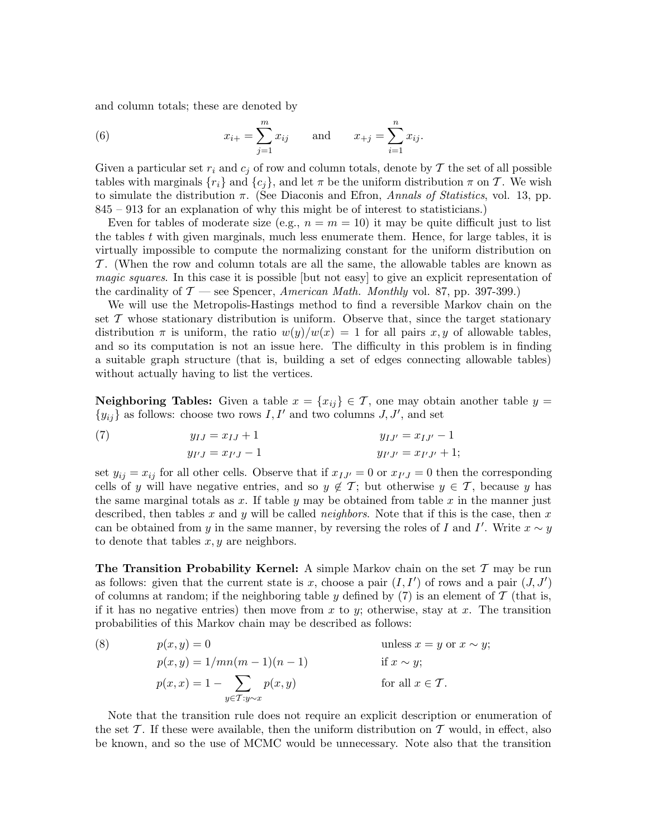and column totals; these are denoted by

(6) 
$$
x_{i+} = \sum_{j=1}^{m} x_{ij}
$$
 and  $x_{+j} = \sum_{i=1}^{n} x_{ij}$ .

Given a particular set  $r_i$  and  $c_j$  of row and column totals, denote by T the set of all possible tables with marginals  $\{r_i\}$  and  $\{c_j\}$ , and let  $\pi$  be the uniform distribution  $\pi$  on  $\mathcal T$ . We wish to simulate the distribution  $\pi$ . (See Diaconis and Efron, Annals of Statistics, vol. 13, pp. 845 – 913 for an explanation of why this might be of interest to statisticians.)

Even for tables of moderate size (e.g.,  $n = m = 10$ ) it may be quite difficult just to list the tables  $t$  with given marginals, much less enumerate them. Hence, for large tables, it is virtually impossible to compute the normalizing constant for the uniform distribution on T . (When the row and column totals are all the same, the allowable tables are known as magic squares. In this case it is possible [but not easy] to give an explicit representation of the cardinality of  $\mathcal{T}$  — see Spencer, American Math. Monthly vol. 87, pp. 397-399.)

We will use the Metropolis-Hastings method to find a reversible Markov chain on the set  $\mathcal T$  whose stationary distribution is uniform. Observe that, since the target stationary distribution  $\pi$  is uniform, the ratio  $w(y)/w(x) = 1$  for all pairs x, y of allowable tables, and so its computation is not an issue here. The difficulty in this problem is in finding a suitable graph structure (that is, building a set of edges connecting allowable tables) without actually having to list the vertices.

**Neighboring Tables:** Given a table  $x = \{x_{ij}\} \in \mathcal{T}$ , one may obtain another table  $y =$  ${y_{ij}}$  as follows: choose two rows I, I' and two columns J, J', and set

(7) 
$$
y_{IJ} = x_{IJ} + 1
$$
  $y_{IJ'} = x_{IJ'} - 1$   
 $y_{I'J} = x_{I'J} - 1$   $y_{I'J'} = x_{I'J'} + 1;$ 

set  $y_{ij} = x_{ij}$  for all other cells. Observe that if  $x_{IJ'} = 0$  or  $x_{I'J} = 0$  then the corresponding cells of y will have negative entries, and so  $y \notin \mathcal{T}$ ; but otherwise  $y \in \mathcal{T}$ , because y has the same marginal totals as x. If table y may be obtained from table x in the manner just described, then tables x and y will be called *neighbors*. Note that if this is the case, then x can be obtained from y in the same manner, by reversing the roles of I and I'. Write  $x \sim y$ to denote that tables  $x, y$  are neighbors.

**The Transition Probability Kernel:** A simple Markov chain on the set  $\mathcal{T}$  may be run as follows: given that the current state is x, choose a pair  $(I, I')$  of rows and a pair  $(J, J')$ of columns at random; if the neighboring table y defined by  $(7)$  is an element of T (that is, if it has no negative entries) then move from x to y; otherwise, stay at x. The transition probabilities of this Markov chain may be described as follows:

(8) 
$$
p(x, y) = 0
$$
 unless  $x = y$  or  $x \sim y$ ;  
\n
$$
p(x, y) = 1/mn(m - 1)(n - 1)
$$
 if  $x \sim y$ ;  
\n
$$
p(x, x) = 1 - \sum_{y \in T: y \sim x} p(x, y)
$$
 for all  $x \in T$ .

Note that the transition rule does not require an explicit description or enumeration of the set  $\mathcal T$ . If these were available, then the uniform distribution on  $\mathcal T$  would, in effect, also be known, and so the use of MCMC would be unnecessary. Note also that the transition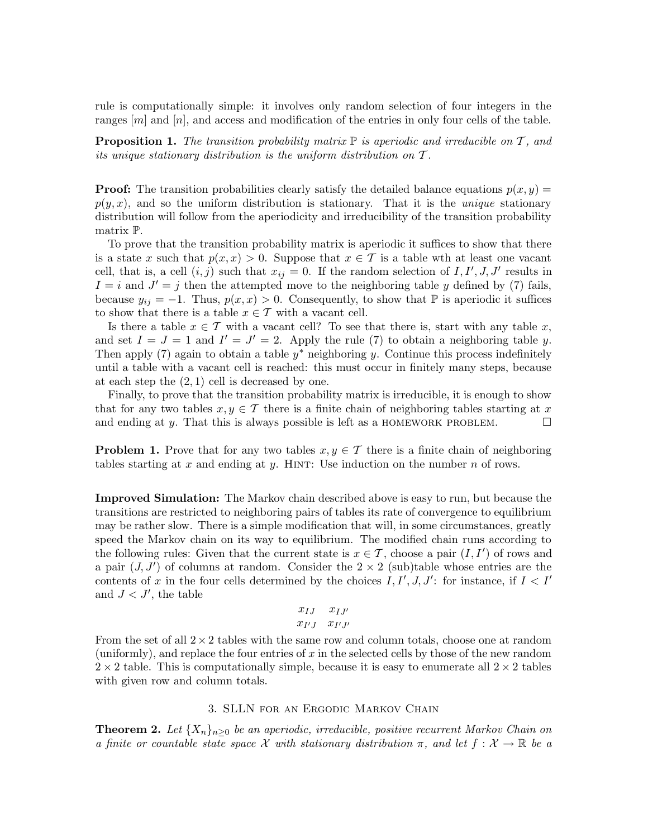rule is computationally simple: it involves only random selection of four integers in the ranges  $[m]$  and  $[n]$ , and access and modification of the entries in only four cells of the table.

**Proposition 1.** The transition probability matrix  $\mathbb{P}$  is aperiodic and irreducible on T, and its unique stationary distribution is the uniform distribution on  $\mathcal T$ .

**Proof:** The transition probabilities clearly satisfy the detailed balance equations  $p(x, y) =$  $p(y, x)$ , and so the uniform distribution is stationary. That it is the *unique* stationary distribution will follow from the aperiodicity and irreducibility of the transition probability matrix P.

To prove that the transition probability matrix is aperiodic it suffices to show that there is a state x such that  $p(x, x) > 0$ . Suppose that  $x \in \mathcal{T}$  is a table wth at least one vacant cell, that is, a cell  $(i, j)$  such that  $x_{ij} = 0$ . If the random selection of  $I, I', J, J'$  results in  $I = i$  and  $J' = j$  then the attempted move to the neighboring table y defined by (7) fails, because  $y_{ij} = -1$ . Thus,  $p(x, x) > 0$ . Consequently, to show that P is aperiodic it suffices to show that there is a table  $x \in \mathcal{T}$  with a vacant cell.

Is there a table  $x \in \mathcal{T}$  with a vacant cell? To see that there is, start with any table x, and set  $I = J = 1$  and  $I' = J' = 2$ . Apply the rule (7) to obtain a neighboring table y. Then apply  $(7)$  again to obtain a table  $y^*$  neighboring y. Continue this process indefinitely until a table with a vacant cell is reached: this must occur in finitely many steps, because at each step the  $(2, 1)$  cell is decreased by one.

Finally, to prove that the transition probability matrix is irreducible, it is enough to show that for any two tables  $x, y \in \mathcal{T}$  there is a finite chain of neighboring tables starting at x and ending at y. That this is always possible is left as a HOMEWORK PROBLEM.  $\Box$ 

**Problem 1.** Prove that for any two tables  $x, y \in \mathcal{T}$  there is a finite chain of neighboring tables starting at x and ending at y. HINT: Use induction on the number  $n$  of rows.

Improved Simulation: The Markov chain described above is easy to run, but because the transitions are restricted to neighboring pairs of tables its rate of convergence to equilibrium may be rather slow. There is a simple modification that will, in some circumstances, greatly speed the Markov chain on its way to equilibrium. The modified chain runs according to the following rules: Given that the current state is  $x \in \mathcal{T}$ , choose a pair  $(I, I')$  of rows and a pair  $(J, J')$  of columns at random. Consider the  $2 \times 2$  (sub)table whose entries are the contents of x in the four cells determined by the choices  $I, I', J, J'$ : for instance, if  $I < I'$ and  $J < J'$ , the table

$$
\begin{array}{cc} x_{IJ} & x_{IJ'} \\ x_{I'J} & x_{I'J'} \end{array}
$$

From the set of all  $2 \times 2$  tables with the same row and column totals, choose one at random (uniformly), and replace the four entries of x in the selected cells by those of the new random  $2 \times 2$  table. This is computationally simple, because it is easy to enumerate all  $2 \times 2$  tables with given row and column totals.

## 3. SLLN for an Ergodic Markov Chain

**Theorem 2.** Let  $\{X_n\}_{n\geq 0}$  be an aperiodic, irreducible, positive recurrent Markov Chain on a finite or countable state space X with stationary distribution  $\pi$ , and let  $f: \mathcal{X} \to \mathbb{R}$  be a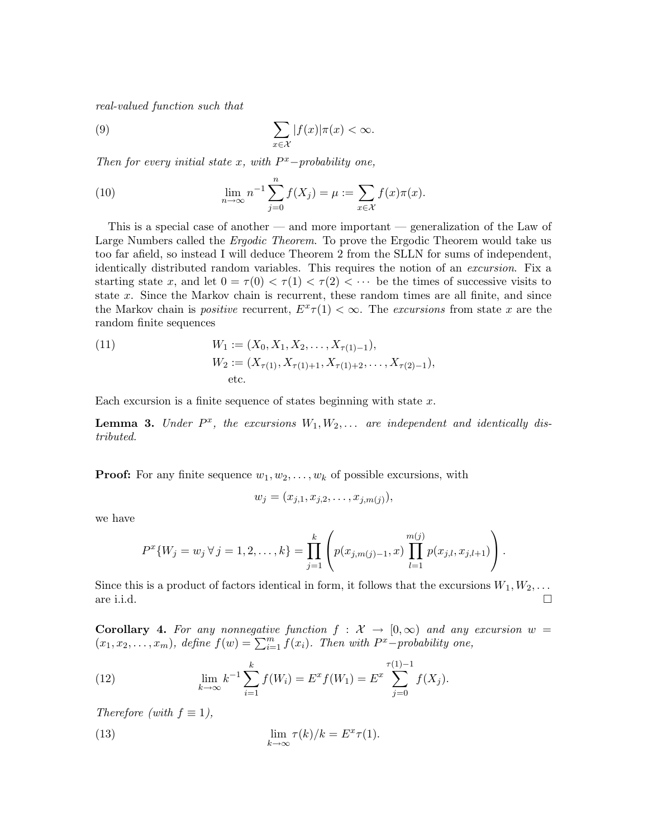real-valued function such that

(9) 
$$
\sum_{x \in \mathcal{X}} |f(x)| \pi(x) < \infty.
$$

Then for every initial state  $x$ , with  $P^x$ -probability one,

(10) 
$$
\lim_{n \to \infty} n^{-1} \sum_{j=0}^{n} f(X_j) = \mu := \sum_{x \in \mathcal{X}} f(x) \pi(x).
$$

This is a special case of another — and more important — generalization of the Law of Large Numbers called the *Ergodic Theorem*. To prove the Ergodic Theorem would take us too far afield, so instead I will deduce Theorem 2 from the SLLN for sums of independent, identically distributed random variables. This requires the notion of an excursion. Fix a starting state x, and let  $0 = \tau(0) < \tau(1) < \tau(2) < \cdots$  be the times of successive visits to state x. Since the Markov chain is recurrent, these random times are all finite, and since the Markov chain is *positive* recurrent,  $E^x \tau(1) < \infty$ . The *excursions* from state x are the random finite sequences

(11) 
$$
W_1 := (X_0, X_1, X_2, \dots, X_{\tau(1)-1}),
$$

$$
W_2 := (X_{\tau(1)}, X_{\tau(1)+1}, X_{\tau(1)+2}, \dots, X_{\tau(2)-1}),
$$
etc.

Each excursion is a finite sequence of states beginning with state  $x$ .

**Lemma 3.** Under  $P^x$ , the excursions  $W_1, W_2, \ldots$  are independent and identically distributed.

**Proof:** For any finite sequence  $w_1, w_2, \ldots, w_k$  of possible excursions, with

$$
w_j = (x_{j,1}, x_{j,2}, \ldots, x_{j,m(j)}),
$$

we have

$$
P^{x}\{W_{j} = w_{j} \forall j = 1, 2, ..., k\} = \prod_{j=1}^{k} \left( p(x_{j,m(j)-1}, x) \prod_{l=1}^{m(j)} p(x_{j,l}, x_{j,l+1}) \right).
$$

Since this is a product of factors identical in form, it follows that the excursions  $W_1, W_2, \ldots$ are i.i.d.  $\square$ 

**Corollary 4.** For any nonnegative function  $f : \mathcal{X} \to [0,\infty)$  and any excursion  $w =$  $(x_1, x_2, \ldots, x_m)$ , define  $f(w) = \sum_{i=1}^m f(x_i)$ . Then with  $P^x$ -probability one,

(12) 
$$
\lim_{k \to \infty} k^{-1} \sum_{i=1}^{k} f(W_i) = E^x f(W_1) = E^x \sum_{j=0}^{\tau(1)-1} f(X_j).
$$

Therefore (with  $f \equiv 1$ ),

(13) 
$$
\lim_{k \to \infty} \tau(k)/k = E^x \tau(1).
$$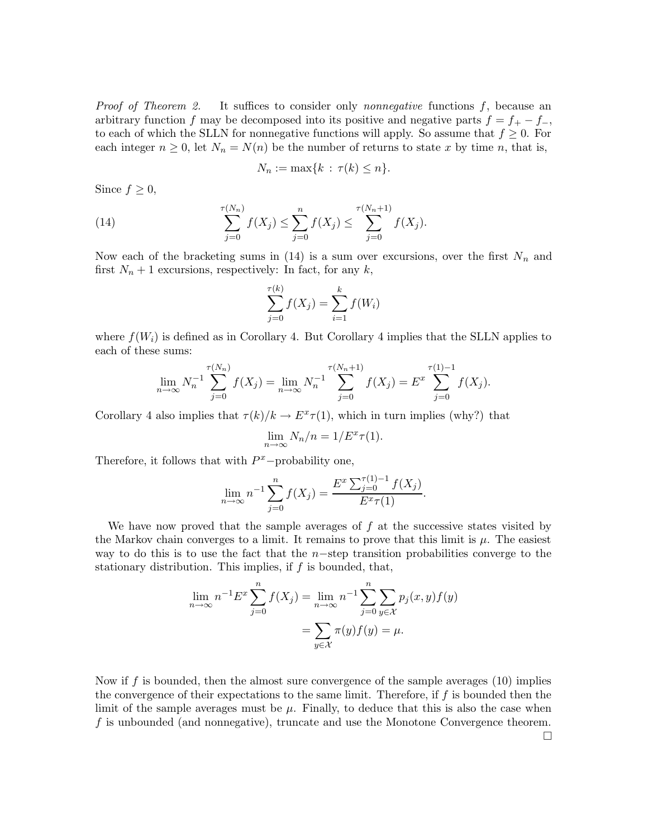*Proof of Theorem 2.* It suffices to consider only *nonnegative* functions  $f$ , because an arbitrary function f may be decomposed into its positive and negative parts  $f = f_{+} - f_{-}$ , to each of which the SLLN for nonnegative functions will apply. So assume that  $f \geq 0$ . For each integer  $n \geq 0$ , let  $N_n = N(n)$  be the number of returns to state x by time n, that is,

$$
N_n := \max\{k \,:\, \tau(k) \le n\}.
$$

Since  $f \geq 0$ ,

(14) 
$$
\sum_{j=0}^{\tau(N_n)} f(X_j) \leq \sum_{j=0}^n f(X_j) \leq \sum_{j=0}^{\tau(N_n+1)} f(X_j).
$$

Now each of the bracketing sums in  $(14)$  is a sum over excursions, over the first  $N_n$  and first  $N_n + 1$  excursions, respectively: In fact, for any k,

$$
\sum_{j=0}^{\tau(k)} f(X_j) = \sum_{i=1}^k f(W_i)
$$

where  $f(W_i)$  is defined as in Corollary 4. But Corollary 4 implies that the SLLN applies to each of these sums:

$$
\lim_{n \to \infty} N_n^{-1} \sum_{j=0}^{\tau(N_n)} f(X_j) = \lim_{n \to \infty} N_n^{-1} \sum_{j=0}^{\tau(N_n+1)} f(X_j) = E^x \sum_{j=0}^{\tau(1)-1} f(X_j).
$$

Corollary 4 also implies that  $\tau(k)/k \to E^x \tau(1)$ , which in turn implies (why?) that

$$
\lim_{n \to \infty} N_n/n = 1/E^x \tau(1).
$$

Therefore, it follows that with  $P^x$ -probability one,

$$
\lim_{n \to \infty} n^{-1} \sum_{j=0}^{n} f(X_j) = \frac{E^x \sum_{j=0}^{\tau(1)-1} f(X_j)}{E^x \tau(1)}.
$$

We have now proved that the sample averages of  $f$  at the successive states visited by the Markov chain converges to a limit. It remains to prove that this limit is  $\mu$ . The easiest way to do this is to use the fact that the n–step transition probabilities converge to the stationary distribution. This implies, if  $f$  is bounded, that,

$$
\lim_{n \to \infty} n^{-1} E^x \sum_{j=0}^n f(X_j) = \lim_{n \to \infty} n^{-1} \sum_{j=0}^n \sum_{y \in \mathcal{X}} p_j(x, y) f(y) \n= \sum_{y \in \mathcal{X}} \pi(y) f(y) = \mu.
$$

Now if f is bounded, then the almost sure convergence of the sample averages  $(10)$  implies the convergence of their expectations to the same limit. Therefore, if  $f$  is bounded then the limit of the sample averages must be  $\mu$ . Finally, to deduce that this is also the case when f is unbounded (and nonnegative), truncate and use the Monotone Convergence theorem.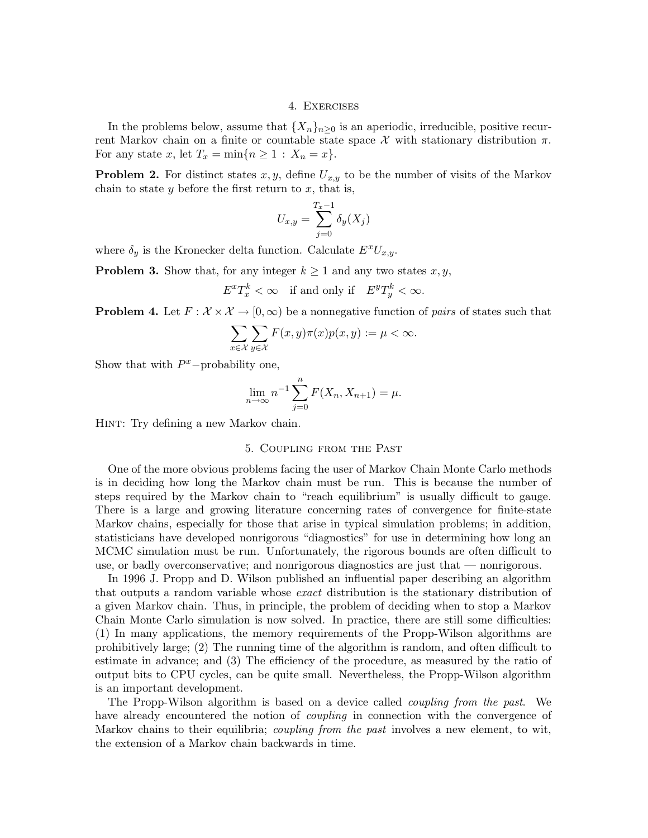## 4. Exercises

In the problems below, assume that  $\{X_n\}_{n\geq 0}$  is an aperiodic, irreducible, positive recurrent Markov chain on a finite or countable state space  $\mathcal X$  with stationary distribution  $\pi$ . For any state x, let  $T_x = \min\{n \geq 1 : X_n = x\}.$ 

**Problem 2.** For distinct states  $x, y$ , define  $U_{x,y}$  to be the number of visits of the Markov chain to state y before the first return to  $x$ , that is,

$$
U_{x,y} = \sum_{j=0}^{T_x - 1} \delta_y(X_j)
$$

where  $\delta_y$  is the Kronecker delta function. Calculate  $E^xU_{x,y}$ .

**Problem 3.** Show that, for any integer  $k \geq 1$  and any two states  $x, y$ ,

$$
E^x T_x^k < \infty \quad \text{if and only if} \quad E^y T_y^k < \infty.
$$

**Problem 4.** Let  $F: \mathcal{X} \times \mathcal{X} \to [0, \infty)$  be a nonnegative function of *pairs* of states such that

$$
\sum_{x \in \mathcal{X}} \sum_{y \in \mathcal{X}} F(x, y)\pi(x)p(x, y) := \mu < \infty.
$$

Show that with  $P^x$ -probability one,

$$
\lim_{n \to \infty} n^{-1} \sum_{j=0}^{n} F(X_n, X_{n+1}) = \mu.
$$

Hint: Try defining a new Markov chain.

#### 5. Coupling from the Past

One of the more obvious problems facing the user of Markov Chain Monte Carlo methods is in deciding how long the Markov chain must be run. This is because the number of steps required by the Markov chain to "reach equilibrium" is usually difficult to gauge. There is a large and growing literature concerning rates of convergence for finite-state Markov chains, especially for those that arise in typical simulation problems; in addition, statisticians have developed nonrigorous "diagnostics" for use in determining how long an MCMC simulation must be run. Unfortunately, the rigorous bounds are often difficult to use, or badly overconservative; and nonrigorous diagnostics are just that — nonrigorous.

In 1996 J. Propp and D. Wilson published an influential paper describing an algorithm that outputs a random variable whose exact distribution is the stationary distribution of a given Markov chain. Thus, in principle, the problem of deciding when to stop a Markov Chain Monte Carlo simulation is now solved. In practice, there are still some difficulties: (1) In many applications, the memory requirements of the Propp-Wilson algorithms are prohibitively large; (2) The running time of the algorithm is random, and often difficult to estimate in advance; and (3) The efficiency of the procedure, as measured by the ratio of output bits to CPU cycles, can be quite small. Nevertheless, the Propp-Wilson algorithm is an important development.

The Propp-Wilson algorithm is based on a device called coupling from the past. We have already encountered the notion of *coupling* in connection with the convergence of Markov chains to their equilibria; *coupling from the past* involves a new element, to wit, the extension of a Markov chain backwards in time.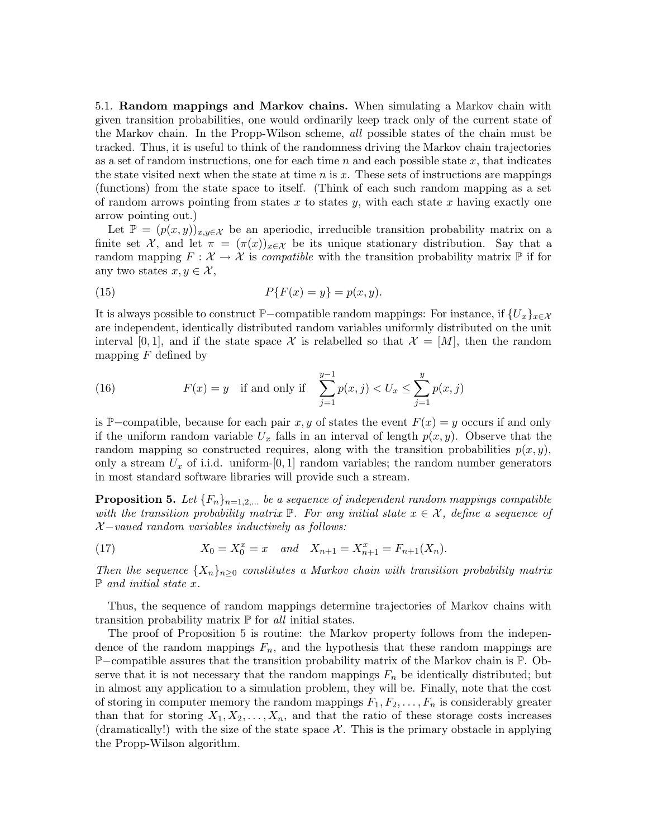5.1. Random mappings and Markov chains. When simulating a Markov chain with given transition probabilities, one would ordinarily keep track only of the current state of the Markov chain. In the Propp-Wilson scheme, all possible states of the chain must be tracked. Thus, it is useful to think of the randomness driving the Markov chain trajectories as a set of random instructions, one for each time n and each possible state  $x$ , that indicates the state visited next when the state at time  $n$  is  $x$ . These sets of instructions are mappings (functions) from the state space to itself. (Think of each such random mapping as a set of random arrows pointing from states x to states y, with each state x having exactly one arrow pointing out.)

Let  $\mathbb{P} = (p(x, y))_{x,y \in \mathcal{X}}$  be an aperiodic, irreducible transition probability matrix on a finite set X, and let  $\pi = (\pi(x))_{x \in \mathcal{X}}$  be its unique stationary distribution. Say that a random mapping  $F: \mathcal{X} \to \mathcal{X}$  is compatible with the transition probability matrix  $\mathbb{P}$  if for any two states  $x, y \in \mathcal{X}$ ,

(15) 
$$
P\{F(x) = y\} = p(x, y).
$$

It is always possible to construct P–compatible random mappings: For instance, if  $\{U_x\}_{x\in\mathcal{X}}$ are independent, identically distributed random variables uniformly distributed on the unit interval [0, 1], and if the state space X is relabelled so that  $\mathcal{X} = [M]$ , then the random mapping  $F$  defined by

(16) 
$$
F(x) = y
$$
 if and only if  $\sum_{j=1}^{y-1} p(x, j) < U_x \le \sum_{j=1}^{y} p(x, j)$ 

is P–compatible, because for each pair x, y of states the event  $F(x) = y$  occurs if and only if the uniform random variable  $U_x$  falls in an interval of length  $p(x, y)$ . Observe that the random mapping so constructed requires, along with the transition probabilities  $p(x, y)$ , only a stream  $U_x$  of i.i.d. uniform-[0, 1] random variables; the random number generators in most standard software libraries will provide such a stream.

**Proposition 5.** Let  ${F_n}_{n=1,2,...}$  be a sequence of independent random mappings compatible with the transition probability matrix  $\mathbb{P}$ . For any initial state  $x \in \mathcal{X}$ , define a sequence of  $\chi$ -vaued random variables inductively as follows:

(17) 
$$
X_0 = X_0^x = x \quad and \quad X_{n+1} = X_{n+1}^x = F_{n+1}(X_n).
$$

Then the sequence  $\{X_n\}_{n>0}$  constitutes a Markov chain with transition probability matrix  $\mathbb P$  and initial state x.

Thus, the sequence of random mappings determine trajectories of Markov chains with transition probability matrix  $\mathbb P$  for all initial states.

The proof of Proposition 5 is routine: the Markov property follows from the independence of the random mappings  $F_n$ , and the hypothesis that these random mappings are P−compatible assures that the transition probability matrix of the Markov chain is P. Observe that it is not necessary that the random mappings  $F_n$  be identically distributed; but in almost any application to a simulation problem, they will be. Finally, note that the cost of storing in computer memory the random mappings  $F_1, F_2, \ldots, F_n$  is considerably greater than that for storing  $X_1, X_2, \ldots, X_n$ , and that the ratio of these storage costs increases (dramatically!) with the size of the state space  $\mathcal X$ . This is the primary obstacle in applying the Propp-Wilson algorithm.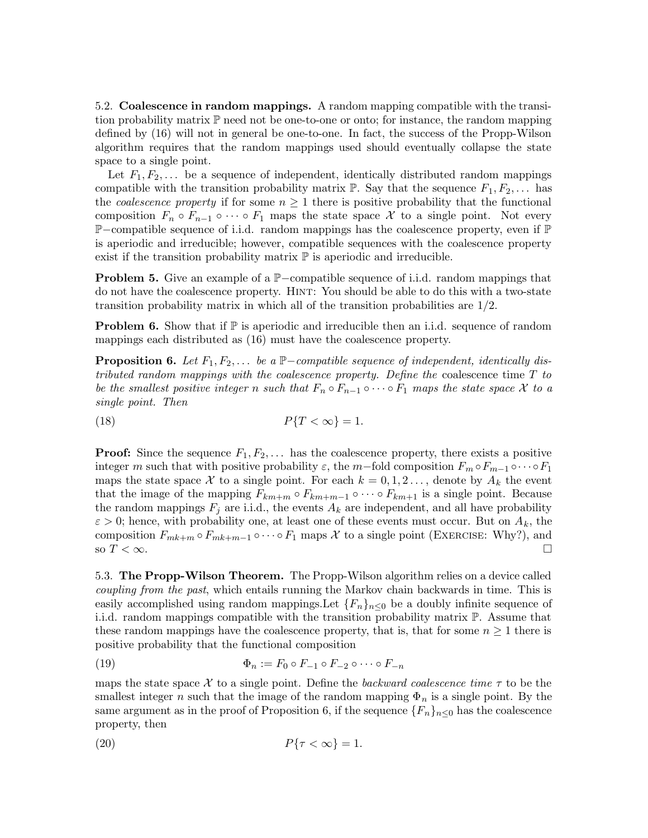5.2. Coalescence in random mappings. A random mapping compatible with the transition probability matrix P need not be one-to-one or onto; for instance, the random mapping defined by (16) will not in general be one-to-one. In fact, the success of the Propp-Wilson algorithm requires that the random mappings used should eventually collapse the state space to a single point.

Let  $F_1, F_2, \ldots$  be a sequence of independent, identically distributed random mappings compatible with the transition probability matrix  $\mathbb{P}$ . Say that the sequence  $F_1, F_2, \ldots$  has the *coalescence property* if for some  $n \geq 1$  there is positive probability that the functional composition  $F_n \circ F_{n-1} \circ \cdots \circ F_1$  maps the state space X to a single point. Not every P−compatible sequence of i.i.d. random mappings has the coalescence property, even if P is aperiodic and irreducible; however, compatible sequences with the coalescence property exist if the transition probability matrix  $\mathbb P$  is aperiodic and irreducible.

Problem 5. Give an example of a P–compatible sequence of i.i.d. random mappings that do not have the coalescence property. Hint: You should be able to do this with a two-state transition probability matrix in which all of the transition probabilities are 1/2.

**Problem 6.** Show that if  $\mathbb{P}$  is aperiodic and irreducible then an i.i.d. sequence of random mappings each distributed as (16) must have the coalescence property.

**Proposition 6.** Let  $F_1, F_2, \ldots$  be a  $\mathbb{P}-compatible$  sequence of independent, identically distributed random mappings with the coalescence property. Define the coalescence time T to be the smallest positive integer n such that  $F_n \circ F_{n-1} \circ \cdots \circ F_1$  maps the state space X to a single point. Then

$$
(18) \t\t P\{T < \infty\} = 1.
$$

**Proof:** Since the sequence  $F_1, F_2, \ldots$  has the coalescence property, there exists a positive integer m such that with positive probability  $\varepsilon$ , the m−fold composition  $F_m \circ F_{m-1} \circ \cdots \circ F_1$ maps the state space X to a single point. For each  $k = 0, 1, 2, \ldots$ , denote by  $A_k$  the event that the image of the mapping  $F_{km+m} \circ F_{km+m-1} \circ \cdots \circ F_{km+1}$  is a single point. Because the random mappings  $F_j$  are i.i.d., the events  $A_k$  are independent, and all have probability  $\varepsilon > 0$ ; hence, with probability one, at least one of these events must occur. But on  $A_k$ , the composition  $F_{mk+m} \circ F_{mk+m-1} \circ \cdots \circ F_1$  maps X to a single point (EXERCISE: Why?), and so  $T < \infty$ .

5.3. The Propp-Wilson Theorem. The Propp-Wilson algorithm relies on a device called coupling from the past, which entails running the Markov chain backwards in time. This is easily accomplished using random mappings. Let  $\{F_n\}_{n\leq 0}$  be a doubly infinite sequence of i.i.d. random mappings compatible with the transition probability matrix P. Assume that these random mappings have the coalescence property, that is, that for some  $n \geq 1$  there is positive probability that the functional composition

$$
\Phi_n := F_0 \circ F_{-1} \circ F_{-2} \circ \cdots \circ F_{-n}
$$

maps the state space X to a single point. Define the backward coalescence time  $\tau$  to be the smallest integer n such that the image of the random mapping  $\Phi_n$  is a single point. By the same argument as in the proof of Proposition 6, if the sequence  $\{F_n\}_{n\leq 0}$  has the coalescence property, then

$$
(20) \t\t\t P\{\tau < \infty\} = 1.
$$